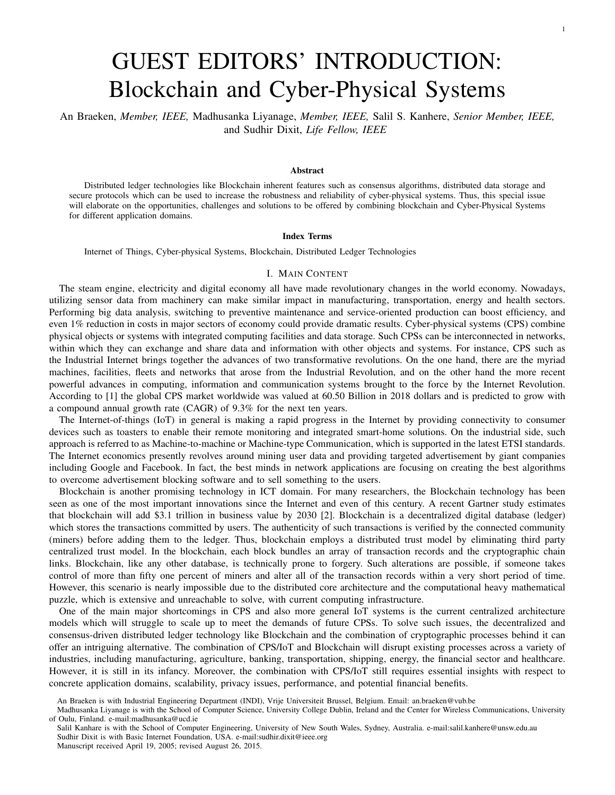# GUEST EDITORS' INTRODUCTION: Blockchain and Cyber-Physical Systems

An Braeken, *Member, IEEE,* Madhusanka Liyanage, *Member, IEEE,* Salil S. Kanhere, *Senior Member, IEEE,* and Sudhir Dixit, *Life Fellow, IEEE*

#### Abstract

Distributed ledger technologies like Blockchain inherent features such as consensus algorithms, distributed data storage and secure protocols which can be used to increase the robustness and reliability of cyber-physical systems. Thus, this special issue will elaborate on the opportunities, challenges and solutions to be offered by combining blockchain and Cyber-Physical Systems for different application domains.

#### Index Terms

Internet of Things, Cyber-physical Systems, Blockchain, Distributed Ledger Technologies

#### I. MAIN CONTENT

The steam engine, electricity and digital economy all have made revolutionary changes in the world economy. Nowadays, utilizing sensor data from machinery can make similar impact in manufacturing, transportation, energy and health sectors. Performing big data analysis, switching to preventive maintenance and service-oriented production can boost efficiency, and even 1% reduction in costs in major sectors of economy could provide dramatic results. Cyber-physical systems (CPS) combine physical objects or systems with integrated computing facilities and data storage. Such CPSs can be interconnected in networks, within which they can exchange and share data and information with other objects and systems. For instance, CPS such as the Industrial Internet brings together the advances of two transformative revolutions. On the one hand, there are the myriad machines, facilities, fleets and networks that arose from the Industrial Revolution, and on the other hand the more recent powerful advances in computing, information and communication systems brought to the force by the Internet Revolution. According to [1] the global CPS market worldwide was valued at 60.50 Billion in 2018 dollars and is predicted to grow with a compound annual growth rate (CAGR) of 9.3% for the next ten years.

The Internet-of-things (IoT) in general is making a rapid progress in the Internet by providing connectivity to consumer devices such as toasters to enable their remote monitoring and integrated smart-home solutions. On the industrial side, such approach is referred to as Machine-to-machine or Machine-type Communication, which is supported in the latest ETSI standards. The Internet economics presently revolves around mining user data and providing targeted advertisement by giant companies including Google and Facebook. In fact, the best minds in network applications are focusing on creating the best algorithms to overcome advertisement blocking software and to sell something to the users.

Blockchain is another promising technology in ICT domain. For many researchers, the Blockchain technology has been seen as one of the most important innovations since the Internet and even of this century. A recent Gartner study estimates that blockchain will add \$3.1 trillion in business value by 2030 [2]. Blockchain is a decentralized digital database (ledger) which stores the transactions committed by users. The authenticity of such transactions is verified by the connected community (miners) before adding them to the ledger. Thus, blockchain employs a distributed trust model by eliminating third party centralized trust model. In the blockchain, each block bundles an array of transaction records and the cryptographic chain links. Blockchain, like any other database, is technically prone to forgery. Such alterations are possible, if someone takes control of more than fifty one percent of miners and alter all of the transaction records within a very short period of time. However, this scenario is nearly impossible due to the distributed core architecture and the computational heavy mathematical puzzle, which is extensive and unreachable to solve, with current computing infrastructure.

One of the main major shortcomings in CPS and also more general IoT systems is the current centralized architecture models which will struggle to scale up to meet the demands of future CPSs. To solve such issues, the decentralized and consensus-driven distributed ledger technology like Blockchain and the combination of cryptographic processes behind it can offer an intriguing alternative. The combination of CPS/IoT and Blockchain will disrupt existing processes across a variety of industries, including manufacturing, agriculture, banking, transportation, shipping, energy, the financial sector and healthcare. However, it is still in its infancy. Moreover, the combination with CPS/IoT still requires essential insights with respect to concrete application domains, scalability, privacy issues, performance, and potential financial benefits.

An Braeken is with Industrial Engineering Department (INDI), Vrije Universiteit Brussel, Belgium. Email: an.braeken@vub.be

Madhusanka Liyanage is with the School of Computer Science, University College Dublin, Ireland and the Center for Wireless Communications, University of Oulu, Finland. e-mail:madhusanka@ucd.ie

Salil Kanhare is with the School of Computer Engineering, University of New South Wales, Sydney, Australia. e-mail:salil.kanhere@unsw.edu.au Sudhir Dixit is with Basic Internet Foundation, USA. e-mail:sudhir.dixit@ieee.org

Manuscript received April 19, 2005; revised August 26, 2015.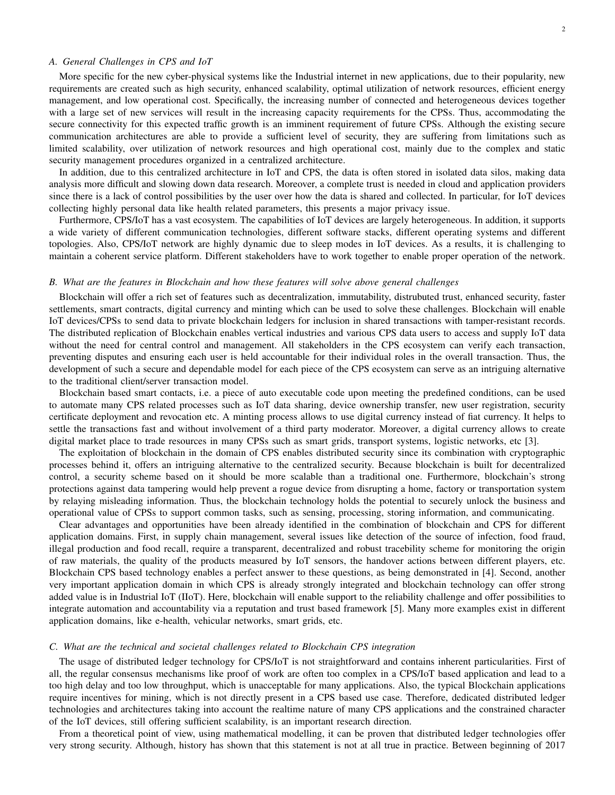## *A. General Challenges in CPS and IoT*

More specific for the new cyber-physical systems like the Industrial internet in new applications, due to their popularity, new requirements are created such as high security, enhanced scalability, optimal utilization of network resources, efficient energy management, and low operational cost. Specifically, the increasing number of connected and heterogeneous devices together with a large set of new services will result in the increasing capacity requirements for the CPSs. Thus, accommodating the secure connectivity for this expected traffic growth is an imminent requirement of future CPSs. Although the existing secure communication architectures are able to provide a sufficient level of security, they are suffering from limitations such as limited scalability, over utilization of network resources and high operational cost, mainly due to the complex and static security management procedures organized in a centralized architecture.

In addition, due to this centralized architecture in IoT and CPS, the data is often stored in isolated data silos, making data analysis more difficult and slowing down data research. Moreover, a complete trust is needed in cloud and application providers since there is a lack of control possibilities by the user over how the data is shared and collected. In particular, for IoT devices collecting highly personal data like health related parameters, this presents a major privacy issue.

Furthermore, CPS/IoT has a vast ecosystem. The capabilities of IoT devices are largely heterogeneous. In addition, it supports a wide variety of different communication technologies, different software stacks, different operating systems and different topologies. Also, CPS/IoT network are highly dynamic due to sleep modes in IoT devices. As a results, it is challenging to maintain a coherent service platform. Different stakeholders have to work together to enable proper operation of the network.

#### *B. What are the features in Blockchain and how these features will solve above general challenges*

Blockchain will offer a rich set of features such as decentralization, immutability, distrubuted trust, enhanced security, faster settlements, smart contracts, digital currency and minting which can be used to solve these challenges. Blockchain will enable IoT devices/CPSs to send data to private blockchain ledgers for inclusion in shared transactions with tamper-resistant records. The distributed replication of Blockchain enables vertical industries and various CPS data users to access and supply IoT data without the need for central control and management. All stakeholders in the CPS ecosystem can verify each transaction, preventing disputes and ensuring each user is held accountable for their individual roles in the overall transaction. Thus, the development of such a secure and dependable model for each piece of the CPS ecosystem can serve as an intriguing alternative to the traditional client/server transaction model.

Blockchain based smart contacts, i.e. a piece of auto executable code upon meeting the predefined conditions, can be used to automate many CPS related processes such as IoT data sharing, device ownership transfer, new user registration, security certificate deployment and revocation etc. A minting process allows to use digital currency instead of fiat currency. It helps to settle the transactions fast and without involvement of a third party moderator. Moreover, a digital currency allows to create digital market place to trade resources in many CPSs such as smart grids, transport systems, logistic networks, etc [3].

The exploitation of blockchain in the domain of CPS enables distributed security since its combination with cryptographic processes behind it, offers an intriguing alternative to the centralized security. Because blockchain is built for decentralized control, a security scheme based on it should be more scalable than a traditional one. Furthermore, blockchain's strong protections against data tampering would help prevent a rogue device from disrupting a home, factory or transportation system by relaying misleading information. Thus, the blockchain technology holds the potential to securely unlock the business and operational value of CPSs to support common tasks, such as sensing, processing, storing information, and communicating.

Clear advantages and opportunities have been already identified in the combination of blockchain and CPS for different application domains. First, in supply chain management, several issues like detection of the source of infection, food fraud, illegal production and food recall, require a transparent, decentralized and robust tracebility scheme for monitoring the origin of raw materials, the quality of the products measured by IoT sensors, the handover actions between different players, etc. Blockchain CPS based technology enables a perfect answer to these questions, as being demonstrated in [4]. Second, another very important application domain in which CPS is already strongly integrated and blockchain technology can offer strong added value is in Industrial IoT (IIoT). Here, blockchain will enable support to the reliability challenge and offer possibilities to integrate automation and accountability via a reputation and trust based framework [5]. Many more examples exist in different application domains, like e-health, vehicular networks, smart grids, etc.

### *C. What are the technical and societal challenges related to Blockchain CPS integration*

The usage of distributed ledger technology for CPS/IoT is not straightforward and contains inherent particularities. First of all, the regular consensus mechanisms like proof of work are often too complex in a CPS/IoT based application and lead to a too high delay and too low throughput, which is unacceptable for many applications. Also, the typical Blockchain applications require incentives for mining, which is not directly present in a CPS based use case. Therefore, dedicated distributed ledger technologies and architectures taking into account the realtime nature of many CPS applications and the constrained character of the IoT devices, still offering sufficient scalability, is an important research direction.

From a theoretical point of view, using mathematical modelling, it can be proven that distributed ledger technologies offer very strong security. Although, history has shown that this statement is not at all true in practice. Between beginning of 2017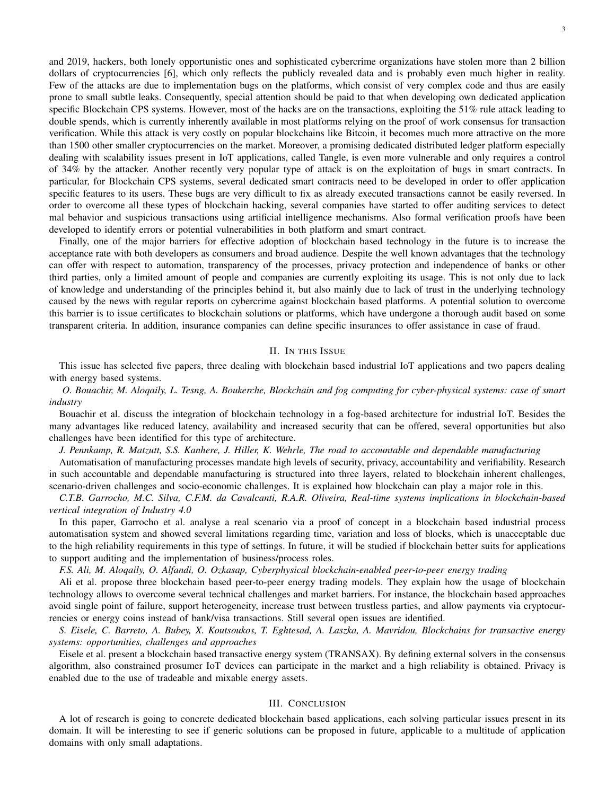and 2019, hackers, both lonely opportunistic ones and sophisticated cybercrime organizations have stolen more than 2 billion dollars of cryptocurrencies [6], which only reflects the publicly revealed data and is probably even much higher in reality. Few of the attacks are due to implementation bugs on the platforms, which consist of very complex code and thus are easily prone to small subtle leaks. Consequently, special attention should be paid to that when developing own dedicated application specific Blockchain CPS systems. However, most of the hacks are on the transactions, exploiting the 51% rule attack leading to double spends, which is currently inherently available in most platforms relying on the proof of work consensus for transaction verification. While this attack is very costly on popular blockchains like Bitcoin, it becomes much more attractive on the more than 1500 other smaller cryptocurrencies on the market. Moreover, a promising dedicated distributed ledger platform especially dealing with scalability issues present in IoT applications, called Tangle, is even more vulnerable and only requires a control of 34% by the attacker. Another recently very popular type of attack is on the exploitation of bugs in smart contracts. In particular, for Blockchain CPS systems, several dedicated smart contracts need to be developed in order to offer application specific features to its users. These bugs are very difficult to fix as already executed transactions cannot be easily reversed. In order to overcome all these types of blockchain hacking, several companies have started to offer auditing services to detect mal behavior and suspicious transactions using artificial intelligence mechanisms. Also formal verification proofs have been developed to identify errors or potential vulnerabilities in both platform and smart contract.

Finally, one of the major barriers for effective adoption of blockchain based technology in the future is to increase the acceptance rate with both developers as consumers and broad audience. Despite the well known advantages that the technology can offer with respect to automation, transparency of the processes, privacy protection and independence of banks or other third parties, only a limited amount of people and companies are currently exploiting its usage. This is not only due to lack of knowledge and understanding of the principles behind it, but also mainly due to lack of trust in the underlying technology caused by the news with regular reports on cybercrime against blockchain based platforms. A potential solution to overcome this barrier is to issue certificates to blockchain solutions or platforms, which have undergone a thorough audit based on some transparent criteria. In addition, insurance companies can define specific insurances to offer assistance in case of fraud.

#### II. IN THIS ISSUE

This issue has selected five papers, three dealing with blockchain based industrial IoT applications and two papers dealing with energy based systems.

*O. Bouachir, M. Aloqaily, L. Tesng, A. Boukerche, Blockchain and fog computing for cyber-physical systems: case of smart industry*

Bouachir et al. discuss the integration of blockchain technology in a fog-based architecture for industrial IoT. Besides the many advantages like reduced latency, availability and increased security that can be offered, several opportunities but also challenges have been identified for this type of architecture.

*J. Pennkamp, R. Matzutt, S.S. Kanhere, J. Hiller, K. Wehrle, The road to accountable and dependable manufacturing*

Automatisation of manufacturing processes mandate high levels of security, privacy, accountability and verifiability. Research in such accountable and dependable manufacturing is structured into three layers, related to blockchain inherent challenges, scenario-driven challenges and socio-economic challenges. It is explained how blockchain can play a major role in this.

*C.T.B. Garrocho, M.C. Silva, C.F.M. da Cavalcanti, R.A.R. Oliveira, Real-time systems implications in blockchain-based vertical integration of Industry 4.0*

In this paper, Garrocho et al. analyse a real scenario via a proof of concept in a blockchain based industrial process automatisation system and showed several limitations regarding time, variation and loss of blocks, which is unacceptable due to the high reliability requirements in this type of settings. In future, it will be studied if blockchain better suits for applications to support auditing and the implementation of business/process roles.

*F.S. Ali, M. Aloqaily, O. Alfandi, O. Ozkasap, Cyberphysical blockchain-enabled peer-to-peer energy trading*

Ali et al. propose three blockchain based peer-to-peer energy trading models. They explain how the usage of blockchain technology allows to overcome several technical challenges and market barriers. For instance, the blockchain based approaches avoid single point of failure, support heterogeneity, increase trust between trustless parties, and allow payments via cryptocurrencies or energy coins instead of bank/visa transactions. Still several open issues are identified.

*S. Eisele, C. Barreto, A. Bubey, X. Koutsoukos, T. Eghtesad, A. Laszka, A. Mavridou, Blockchains for transactive energy systems: opportunities, challenges and approaches*

Eisele et al. present a blockchain based transactive energy system (TRANSAX). By defining external solvers in the consensus algorithm, also constrained prosumer IoT devices can participate in the market and a high reliability is obtained. Privacy is enabled due to the use of tradeable and mixable energy assets.

## III. CONCLUSION

A lot of research is going to concrete dedicated blockchain based applications, each solving particular issues present in its domain. It will be interesting to see if generic solutions can be proposed in future, applicable to a multitude of application domains with only small adaptations.